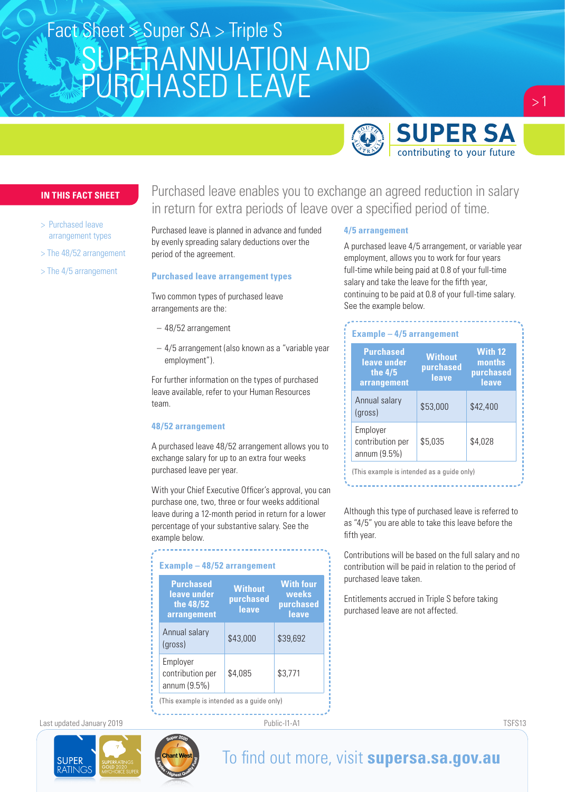# SUPERANNUATION AND PURCHASED LEAVE Fact Sheet Super SA > Triple S



### **IN THIS FACT SHEET**

- > Purchased leave arrangement types
- > The 48/52 arrangement
- > The 4/5 arrangement

Purchased leave enables you to exchange an agreed reduction in salary in return for extra periods of leave over a specified period of time.

Purchased leave is planned in advance and funded by evenly spreading salary deductions over the period of the agreement.

#### **Purchased leave arrangement types**

Two common types of purchased leave arrangements are the:

- 48/52 arrangement
- 4/5 arrangement (also known as a "variable year employment").

For further information on the types of purchased leave available, refer to your Human Resources team.

#### **48/52 arrangement**

A purchased leave 48/52 arrangement allows you to exchange salary for up to an extra four weeks purchased leave per year.

With your Chief Executive Officer's approval, you can purchase one, two, three or four weeks additional leave during a 12-month period in return for a lower percentage of your substantive salary. See the example below.

| <b>Purchased</b><br>leave under<br>the 48/52<br>arrangement | <b>Without</b><br>purchased<br>leave | <b>With four</b><br>weeks<br>purchased<br>leave |
|-------------------------------------------------------------|--------------------------------------|-------------------------------------------------|
| Annual salary<br>(qross)                                    | \$43,000                             | \$39,692                                        |
| Employer<br>contribution per<br>annum (9.5%)                | \$4,085                              | \$3,771                                         |

Last updated January 2019 Public-I1-A1 TSFS13





**4/5 arrangement** 

A purchased leave 4/5 arrangement, or variable year employment, allows you to work for four years full-time while being paid at 0.8 of your full-time salary and take the leave for the fifth year, continuing to be paid at 0.8 of your full-time salary. See the example below.

| <b>Purchased</b><br>leave under<br>the $4/5$<br>arrangement | <b>Without</b><br>purchased<br>leave | With 12<br>months<br>purchased<br>leave |
|-------------------------------------------------------------|--------------------------------------|-----------------------------------------|
| Annual salary<br>(gross)                                    | \$53,000                             | \$42,400                                |
| Employer<br>contribution per<br>annum (9.5%)                | \$5,035                              | \$4,028                                 |

(This example is intended as a guide only)

Although this type of purchased leave is referred to as "4/5" you are able to take this leave before the fifth year.

Contributions will be based on the full salary and no contribution will be paid in relation to the period of purchased leave taken.

Entitlements accrued in Triple S before taking purchased leave are not affected.